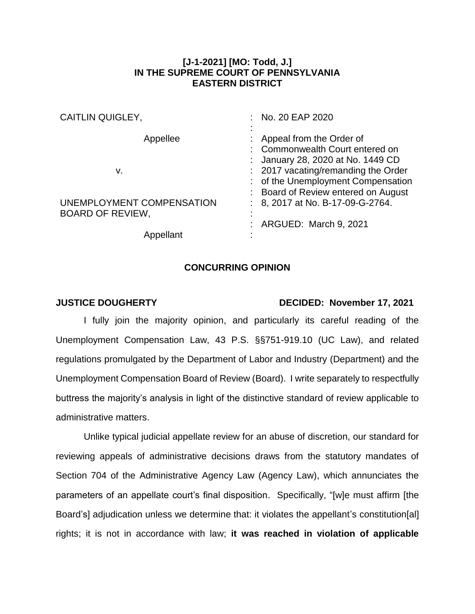## **[J-1-2021] [MO: Todd, J.] IN THE SUPREME COURT OF PENNSYLVANIA EASTERN DISTRICT**

| <b>CAITLIN QUIGLEY,</b>   | : No. 20 EAP 2020                   |
|---------------------------|-------------------------------------|
|                           |                                     |
| Appellee                  | Appeal from the Order of            |
|                           | : Commonwealth Court entered on     |
|                           | : January 28, 2020 at No. 1449 CD   |
| v.                        | : 2017 vacating/remanding the Order |
|                           | : of the Unemployment Compensation  |
|                           | : Board of Review entered on August |
| UNEMPLOYMENT COMPENSATION | : 8, 2017 at No. B-17-09-G-2764.    |
| <b>BOARD OF REVIEW,</b>   |                                     |
|                           | : ARGUED: March 9, 2021             |
| Appellant                 |                                     |

## **CONCURRING OPINION**

## **JUSTICE DOUGHERTY DECIDED: November 17, 2021**

I fully join the majority opinion, and particularly its careful reading of the Unemployment Compensation Law, 43 P.S. §§751-919.10 (UC Law), and related regulations promulgated by the Department of Labor and Industry (Department) and the Unemployment Compensation Board of Review (Board). I write separately to respectfully buttress the majority's analysis in light of the distinctive standard of review applicable to administrative matters.

Unlike typical judicial appellate review for an abuse of discretion, our standard for reviewing appeals of administrative decisions draws from the statutory mandates of Section 704 of the Administrative Agency Law (Agency Law), which annunciates the parameters of an appellate court's final disposition. Specifically, "[w]e must affirm [the Board's] adjudication unless we determine that: it violates the appellant's constitution[al] rights; it is not in accordance with law; **it was reached in violation of applicable**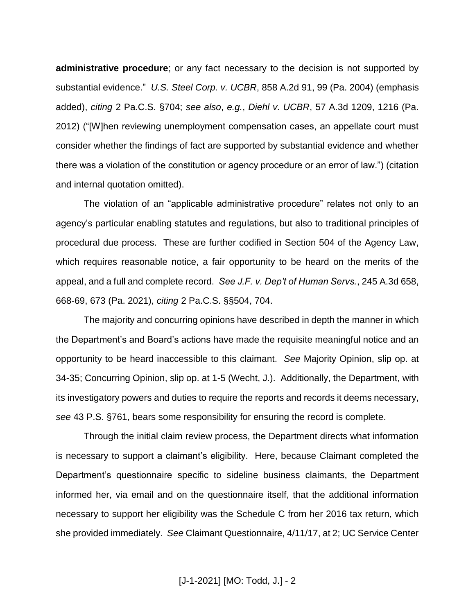**administrative procedure**; or any fact necessary to the decision is not supported by substantial evidence." *U.S. Steel Corp. v. UCBR*, 858 A.2d 91, 99 (Pa. 2004) (emphasis added), *citing* 2 Pa.C.S. §704; *see also*, *e.g.*, *Diehl v. UCBR*, 57 A.3d 1209, 1216 (Pa. 2012) ("[W]hen reviewing unemployment compensation cases, an appellate court must consider whether the findings of fact are supported by substantial evidence and whether there was a violation of the constitution or agency procedure or an error of law.") (citation and internal quotation omitted).

The violation of an "applicable administrative procedure" relates not only to an agency's particular enabling statutes and regulations, but also to traditional principles of procedural due process. These are further codified in Section 504 of the Agency Law, which requires reasonable notice, a fair opportunity to be heard on the merits of the appeal, and a full and complete record. *See J.F. v. Dep't of Human Servs.*, 245 A.3d 658, 668-69, 673 (Pa. 2021), *citing* 2 Pa.C.S. §§504, 704.

The majority and concurring opinions have described in depth the manner in which the Department's and Board's actions have made the requisite meaningful notice and an opportunity to be heard inaccessible to this claimant. *See* Majority Opinion, slip op. at 34-35; Concurring Opinion, slip op. at 1-5 (Wecht, J.). Additionally, the Department, with its investigatory powers and duties to require the reports and records it deems necessary, *see* 43 P.S. §761, bears some responsibility for ensuring the record is complete.

Through the initial claim review process, the Department directs what information is necessary to support a claimant's eligibility. Here, because Claimant completed the Department's questionnaire specific to sideline business claimants, the Department informed her, via email and on the questionnaire itself, that the additional information necessary to support her eligibility was the Schedule C from her 2016 tax return, which she provided immediately. *See* Claimant Questionnaire, 4/11/17, at 2; UC Service Center

[J-1-2021] [MO: Todd, J.] - 2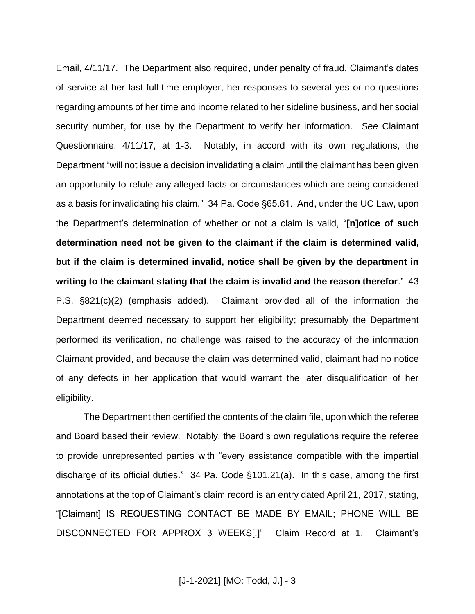Email, 4/11/17. The Department also required, under penalty of fraud, Claimant's dates of service at her last full-time employer, her responses to several yes or no questions regarding amounts of her time and income related to her sideline business, and her social security number, for use by the Department to verify her information. *See* Claimant Questionnaire, 4/11/17, at 1-3. Notably, in accord with its own regulations, the Department "will not issue a decision invalidating a claim until the claimant has been given an opportunity to refute any alleged facts or circumstances which are being considered as a basis for invalidating his claim." 34 Pa. Code §65.61. And, under the UC Law, upon the Department's determination of whether or not a claim is valid, "**[n]otice of such determination need not be given to the claimant if the claim is determined valid, but if the claim is determined invalid, notice shall be given by the department in writing to the claimant stating that the claim is invalid and the reason therefor**." 43 P.S. §821(c)(2) (emphasis added). Claimant provided all of the information the Department deemed necessary to support her eligibility; presumably the Department performed its verification, no challenge was raised to the accuracy of the information Claimant provided, and because the claim was determined valid, claimant had no notice of any defects in her application that would warrant the later disqualification of her eligibility.

The Department then certified the contents of the claim file, upon which the referee and Board based their review. Notably, the Board's own regulations require the referee to provide unrepresented parties with "every assistance compatible with the impartial discharge of its official duties." 34 Pa. Code §101.21(a). In this case, among the first annotations at the top of Claimant's claim record is an entry dated April 21, 2017, stating, "[Claimant] IS REQUESTING CONTACT BE MADE BY EMAIL; PHONE WILL BE DISCONNECTED FOR APPROX 3 WEEKS[.]" Claim Record at 1. Claimant's

[J-1-2021] [MO: Todd, J.] - 3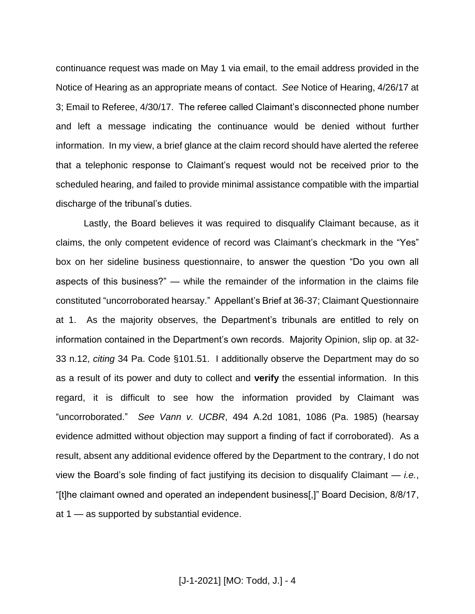continuance request was made on May 1 via email, to the email address provided in the Notice of Hearing as an appropriate means of contact. *See* Notice of Hearing, 4/26/17 at 3; Email to Referee, 4/30/17. The referee called Claimant's disconnected phone number and left a message indicating the continuance would be denied without further information. In my view, a brief glance at the claim record should have alerted the referee that a telephonic response to Claimant's request would not be received prior to the scheduled hearing, and failed to provide minimal assistance compatible with the impartial discharge of the tribunal's duties.

Lastly, the Board believes it was required to disqualify Claimant because, as it claims, the only competent evidence of record was Claimant's checkmark in the "Yes" box on her sideline business questionnaire, to answer the question "Do you own all aspects of this business?" — while the remainder of the information in the claims file constituted "uncorroborated hearsay." Appellant's Brief at 36-37; Claimant Questionnaire at 1. As the majority observes, the Department's tribunals are entitled to rely on information contained in the Department's own records. Majority Opinion, slip op. at 32- 33 n.12, *citing* 34 Pa. Code §101.51. I additionally observe the Department may do so as a result of its power and duty to collect and **verify** the essential information. In this regard, it is difficult to see how the information provided by Claimant was "uncorroborated." *See Vann v. UCBR*, 494 A.2d 1081, 1086 (Pa. 1985) (hearsay evidence admitted without objection may support a finding of fact if corroborated). As a result, absent any additional evidence offered by the Department to the contrary, I do not view the Board's sole finding of fact justifying its decision to disqualify Claimant — *i.e.*, "[t]he claimant owned and operated an independent business[,]" Board Decision, 8/8/17, at 1 — as supported by substantial evidence.